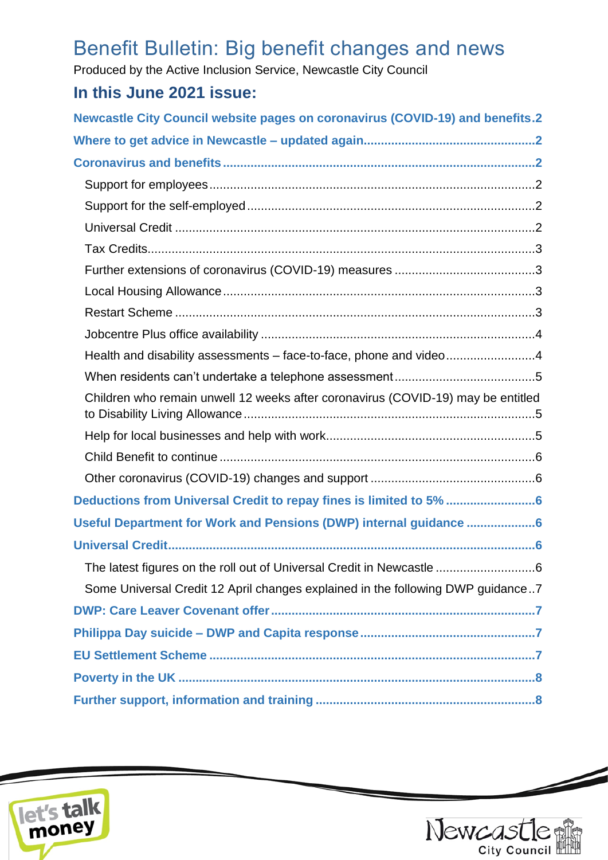# Benefit Bulletin: Big benefit changes and news

Produced by the Active Inclusion Service, Newcastle City Council

# **In this June 2021 issue:**

| <b>Newcastle City Council website pages on coronavirus (COVID-19) and benefits.2</b> |
|--------------------------------------------------------------------------------------|
|                                                                                      |
|                                                                                      |
|                                                                                      |
|                                                                                      |
|                                                                                      |
|                                                                                      |
|                                                                                      |
|                                                                                      |
|                                                                                      |
|                                                                                      |
| Health and disability assessments - face-to-face, phone and video4                   |
|                                                                                      |
| Children who remain unwell 12 weeks after coronavirus (COVID-19) may be entitled     |
|                                                                                      |
|                                                                                      |
|                                                                                      |
| Deductions from Universal Credit to repay fines is limited to 5% 6                   |
| Useful Department for Work and Pensions (DWP) internal guidance 6                    |
|                                                                                      |
| The latest figures on the roll out of Universal Credit in Newcastle 6                |
| Some Universal Credit 12 April changes explained in the following DWP guidance7      |
|                                                                                      |
|                                                                                      |
|                                                                                      |
|                                                                                      |
|                                                                                      |





 $\overline{\phantom{a}}$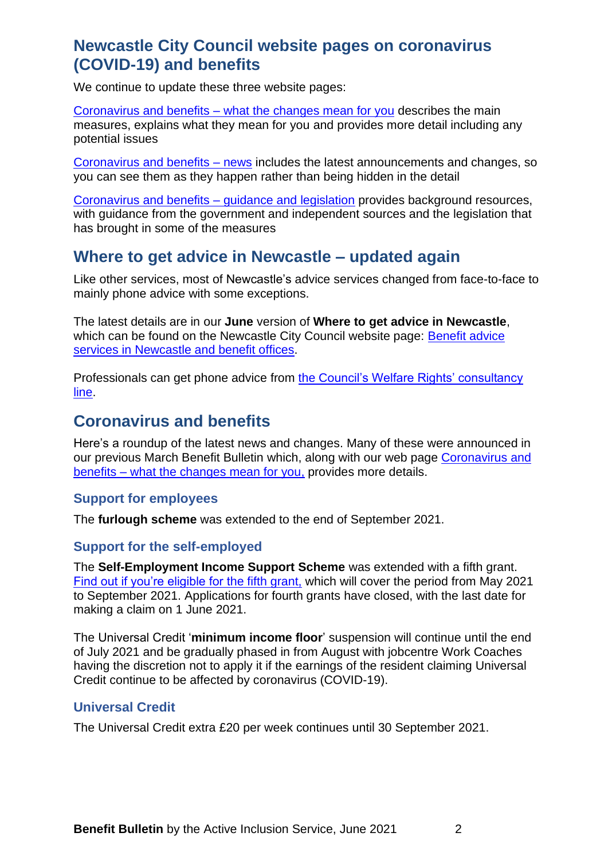# <span id="page-1-0"></span>**Newcastle City Council website pages on coronavirus (COVID-19) and benefits**

We continue to update these three website pages:

Coronavirus and benefits – [what the changes mean for you](https://www.newcastle.gov.uk/services/welfare-benefits/welfare-rights-and-money-advice/coronavirus-and-benefits-what-changes) describes the main measures, explains what they mean for you and provides more detail including any potential issues

[Coronavirus and benefits –](https://www.newcastle.gov.uk/services/coronavirus-and-benefits-news) news includes the latest announcements and changes, so you can see them as they happen rather than being hidden in the detail

[Coronavirus and benefits –](https://www.newcastle.gov.uk/services/coronavirus-and-benefits-guidance-and-legislation) guidance and legislation provides background resources, with guidance from the government and independent sources and the legislation that has brought in some of the measures

# <span id="page-1-1"></span>**Where to get advice in Newcastle – updated again**

Like other services, most of Newcastle's advice services changed from face-to-face to mainly phone advice with some exceptions.

The latest details are in our **June** version of **Where to get advice in Newcastle**, which can be found on the Newcastle City Council website page: [Benefit advice](https://www.newcastle.gov.uk/services/welfare-benefits/welfare-rights-and-money-advice/benefit-advice-services-newcastle-and)  [services in Newcastle and benefit offices.](https://www.newcastle.gov.uk/services/welfare-benefits/welfare-rights-and-money-advice/benefit-advice-services-newcastle-and)

Professionals can get phone advice from [the Council's Welfare Rights' consultancy](https://www.newcastle.gov.uk/services/welfare-benefits/welfare-rights-and-money-advice/information-professionals-and-volunteers#consult)  [line.](https://www.newcastle.gov.uk/services/welfare-benefits/welfare-rights-and-money-advice/information-professionals-and-volunteers#consult)

## <span id="page-1-2"></span>**Coronavirus and benefits**

Here's a roundup of the latest news and changes. Many of these were announced in our previous March Benefit Bulletin which, along with our web page [Coronavirus and](https://www.newcastle.gov.uk/services/welfare-benefits/welfare-rights-and-money-advice/coronavirus-and-benefits-what-changes)  benefits – [what the changes mean for you,](https://www.newcastle.gov.uk/services/welfare-benefits/welfare-rights-and-money-advice/coronavirus-and-benefits-what-changes) provides more details.

#### <span id="page-1-3"></span>**Support for employees**

The **furlough scheme** was extended to the end of September 2021.

#### <span id="page-1-4"></span>**Support for the self-employed**

The **Self-Employment Income Support Scheme** was extended with a fifth grant. [Find out if you're eligible for the fifth grant,](https://www.gov.uk/government/publications/self-employment-income-support-scheme-fifth-grant?utm_medium=email&utm_campaign=govuk-notifications&utm_source=2dad7e64-9421-4ce0-b27a-2005e70b5257&utm_content=daily) which will cover the period from May 2021 to September 2021. Applications for fourth grants have closed, with the last date for making a claim on 1 June 2021.

The Universal Credit '**minimum income floor**' suspension will continue until the end of July 2021 and be gradually phased in from August with jobcentre Work Coaches having the discretion not to apply it if the earnings of the resident claiming Universal Credit continue to be affected by coronavirus (COVID-19).

#### <span id="page-1-5"></span>**Universal Credit**

The Universal Credit extra £20 per week continues until 30 September 2021.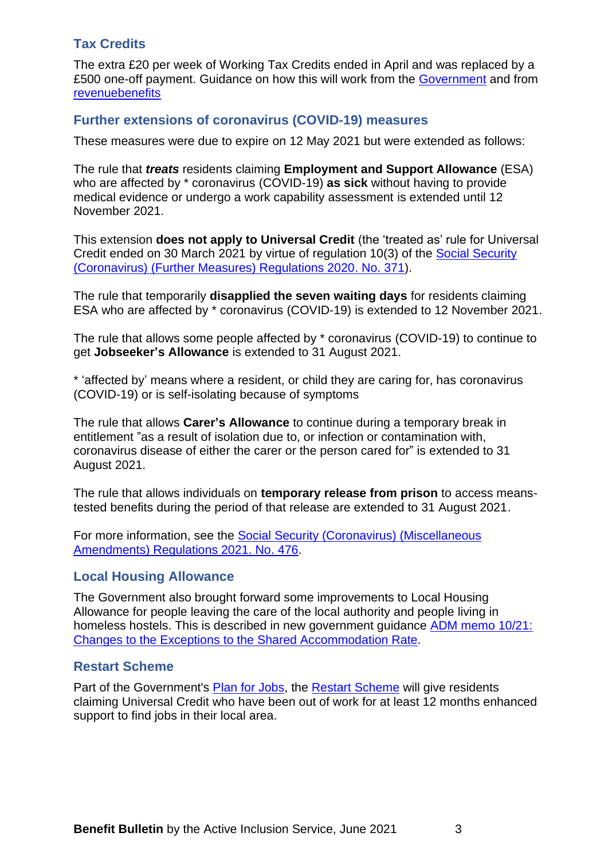## <span id="page-2-0"></span>**Tax Credits**

The extra £20 per week of Working Tax Credits ended in April and was replaced by a £500 one-off payment. Guidance on how this will work from the [Government](https://www.gov.uk/guidance/new-one-off-500-payment-for-working-households-receiving-tax-credits?utm_medium=email&utm_campaign=govuk-notifications&utm_source=031600f9-6ede-481b-8e63-04534b7f7ec6&utm_content=daily) and from [revenuebenefits](https://revenuebenefits.org.uk/blog/one-off-500-payment)

### <span id="page-2-1"></span>**Further extensions of coronavirus (COVID-19) measures**

These measures were due to expire on 12 May 2021 but were extended as follows:

The rule that *treats* residents claiming **Employment and Support Allowance** (ESA) who are affected by \* coronavirus (COVID-19) **as sick** without having to provide medical evidence or undergo a work capability assessment is extended until 12 November 2021.

This extension **does not apply to Universal Credit** (the 'treated as' rule for Universal Credit ended on 30 March 2021 by virtue of regulation 10(3) of the [Social Security](https://www.legislation.gov.uk/uksi/2020/371/contents?commentary-c24046991)  [\(Coronavirus\) \(Further Measures\) Regulations 2020. No. 371\)](https://www.legislation.gov.uk/uksi/2020/371/contents?commentary-c24046991).

The rule that temporarily **disapplied the seven waiting days** for residents claiming ESA who are affected by \* coronavirus (COVID-19) is extended to 12 November 2021.

The rule that allows some people affected by \* coronavirus (COVID-19) to continue to get **Jobseeker's Allowance** is extended to 31 August 2021.

\* 'affected by' means where a resident, or child they are caring for, has coronavirus (COVID-19) or is self-isolating because of symptoms

The rule that allows **Carer's Allowance** to continue during a temporary break in entitlement "as a result of isolation due to, or infection or contamination with, coronavirus disease of either the carer or the person cared for" is extended to 31 August 2021.

The rule that allows individuals on **temporary release from prison** to access meanstested benefits during the period of that release are extended to 31 August 2021.

For more information, see the [Social Security \(Coronavirus\) \(Miscellaneous](https://www.legislation.gov.uk/uksi/2021/476/made)  [Amendments\) Regulations 2021. No. 476.](https://www.legislation.gov.uk/uksi/2021/476/made)

#### <span id="page-2-2"></span>**Local Housing Allowance**

The Government also brought forward some improvements to Local Housing Allowance for people leaving the care of the local authority and people living in homeless hostels. This is described in new government guidance [ADM memo 10/21:](https://assets.publishing.service.gov.uk/government/uploads/system/uploads/attachment_data/file/988940/adm10-21.pdf)  [Changes to the Exceptions to the Shared Accommodation Rate.](https://assets.publishing.service.gov.uk/government/uploads/system/uploads/attachment_data/file/988940/adm10-21.pdf)

#### <span id="page-2-3"></span>**[Restart Scheme](https://www.gov.uk/government/publications/restart-scheme?utm_medium=email&utm_campaign=govuk-notifications&utm_source=abd4f666-962c-488e-ad43-d801e714e12c&utm_content=daily)**

Part of the Government's [Plan for Jobs,](https://www.gov.uk/government/collections/plan-for-jobs-skills-employment-and-support-programmes-for-jobseekers) the [Restart Scheme](https://www.gov.uk/government/publications/restart-scheme?utm_medium=email&utm_campaign=govuk-notifications&utm_source=abd4f666-962c-488e-ad43-d801e714e12c&utm_content=daily) will give residents claiming Universal Credit who have been out of work for at least 12 months enhanced support to find jobs in their local area.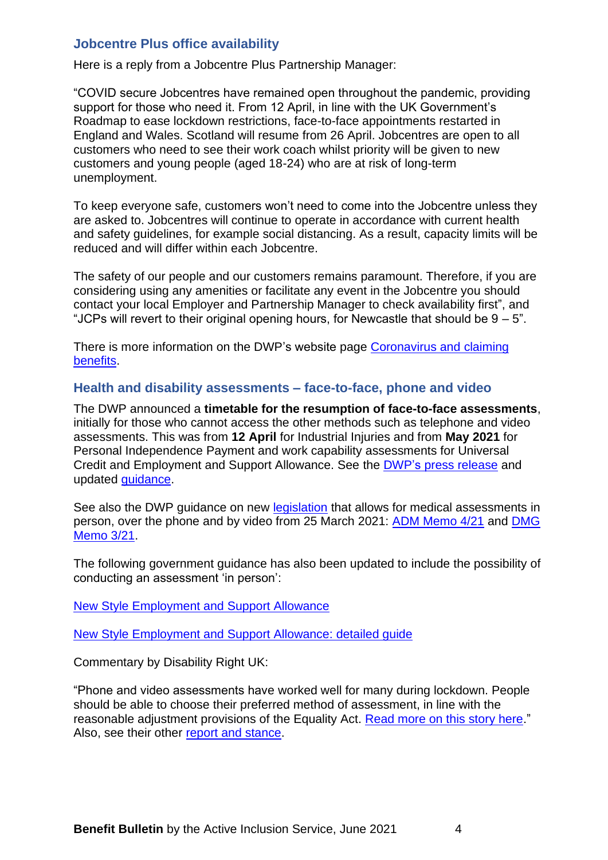### <span id="page-3-0"></span>**Jobcentre Plus office availability**

Here is a reply from a Jobcentre Plus Partnership Manager:

"COVID secure Jobcentres have remained open throughout the pandemic, providing support for those who need it. From 12 April, in line with the UK Government's Roadmap to ease lockdown restrictions, face-to-face appointments restarted in England and Wales. Scotland will resume from 26 April. Jobcentres are open to all customers who need to see their work coach whilst priority will be given to new customers and young people (aged 18-24) who are at risk of long-term unemployment.

To keep everyone safe, customers won't need to come into the Jobcentre unless they are asked to. Jobcentres will continue to operate in accordance with current health and safety guidelines, for example social distancing. As a result, capacity limits will be reduced and will differ within each Jobcentre.

The safety of our people and our customers remains paramount. Therefore, if you are considering using any amenities or facilitate any event in the Jobcentre you should contact your local Employer and Partnership Manager to check availability first", and "JCPs will revert to their original opening hours, for Newcastle that should be  $9 - 5$ ".

There is more information on the DWP's website page [Coronavirus and](https://www.understandinguniversalcredit.gov.uk/Coronavirus/) claiming [benefits.](https://www.understandinguniversalcredit.gov.uk/Coronavirus/)

#### <span id="page-3-1"></span>**Health and disability assessments – face-to-face, phone and video**

The DWP announced a **timetable for the resumption of face-to-face assessments**, initially for those who cannot access the other methods such as telephone and video assessments. This was from **12 April** for Industrial Injuries and from **May 2021** for Personal Independence Payment and work capability assessments for Universal Credit and Employment and Support Allowance. See the DWP's [press release](https://www.gov.uk/government/news/face-to-face-assessments-to-resume-for-health-and-disability-benefits?utm_medium=email&utm_campaign=govuk-notifications&utm_source=75f28f2c-87aa-4520-ba62-1eafa32d8e0f&utm_content=immediately) and updated [guidance.](https://www.gov.uk/government/publications/attending-a-face-to-face-health-assessment-during-covid-19)

See also the DWP guidance on new [legislation](https://www.legislation.gov.uk/uksi/2021/230/note/made?_sm_au_=iVV2Z1SD71JbnZQRW2MN0K7K1WVjq&utm_source=https%3a%2f%2fnews.dwp.gov.uk%2fdwplz%2f&utm_medium=email&utm_campaign=Touchbase+-+26+March+2021&utm_term=Touchbase+-+26+March+2021&utm_content=38695) that allows for medical assessments in person, over the phone and by video from 25 March 2021: [ADM Memo 4/21](https://assets.publishing.service.gov.uk/government/uploads/system/uploads/attachment_data/file/972888/adm4-21.pdf) and [DMG](https://assets.publishing.service.gov.uk/government/uploads/system/uploads/attachment_data/file/973034/m-3-21.pdf)  [Memo 3/21.](https://assets.publishing.service.gov.uk/government/uploads/system/uploads/attachment_data/file/973034/m-3-21.pdf)

The following government guidance has also been updated to include the possibility of conducting an assessment 'in person':

[New Style Employment and Support Allowance](https://www.gov.uk/guidance/new-style-employment-and-support-allowance?utm_medium=email&utm_campaign=govuk-notifications&utm_source=aa4694f1-b386-431e-9560-a17ba6ee55a0&utm_content=daily)

[New Style Employment and Support Allowance: detailed guide](https://www.gov.uk/guidance/new-style-employment-and-support-allowance-detailed-guide?utm_medium=email&utm_campaign=govuk-notifications&utm_source=2b9cac22-e3f8-4b38-b840-f3634b88ffaa&utm_content=daily)

Commentary by Disability Right UK:

"Phone and video assessments have worked well for many during lockdown. People should be able to choose their preferred method of assessment, in line with the reasonable adjustment provisions of the Equality Act. [Read more on this story here.](https://www.disabilityrightsuk.org/sites/all/modules/civicrm/extern/url.php?u=59781&qid=9405775)" Also, see their other [report and stance.](https://www.disabilityrightsuk.org/sites/all/modules/civicrm/extern/url.php?u=59874&qid=9456411)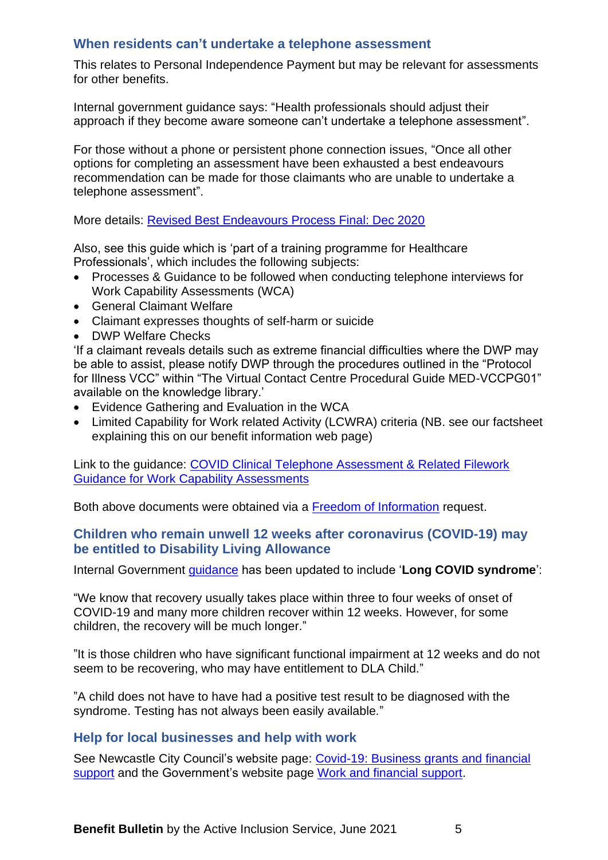## <span id="page-4-0"></span>**When residents can't undertake a telephone assessment**

This relates to Personal Independence Payment but may be relevant for assessments for other benefits.

Internal government guidance says: "Health professionals should adjust their approach if they become aware someone can't undertake a telephone assessment".

For those without a phone or persistent phone connection issues, "Once all other options for completing an assessment have been exhausted a best endeavours recommendation can be made for those claimants who are unable to undertake a telephone assessment".

More details: [Revised Best Endeavours Process Final: Dec 2020](https://www.whatdotheyknow.com/request/741885/response/1779251/attach/4/Revised%20Best%20Endeavours%20Process%20Final%20Dec%202020.pdf)

Also, see this guide which is 'part of a training programme for Healthcare Professionals', which includes the following subjects:

- Processes & Guidance to be followed when conducting telephone interviews for Work Capability Assessments (WCA)
- General Claimant Welfare
- Claimant expresses thoughts of self-harm or suicide
- DWP Welfare Checks

'If a claimant reveals details such as extreme financial difficulties where the DWP may be able to assist, please notify DWP through the procedures outlined in the "Protocol for Illness VCC" within "The Virtual Contact Centre Procedural Guide MED-VCCPG01" available on the knowledge library.'

- Evidence Gathering and Evaluation in the WCA
- Limited Capability for Work related Activity (LCWRA) criteria (NB. see our factsheet explaining this on our benefit information web page)

Link to the guidance: [COVID Clinical Telephone Assessment & Related Filework](https://www.whatdotheyknow.com/request/741885/response/1779251/attach/3/COVID%20Clinical%20Telephone%20Assessment%20and%20Related%20Filework%20Guidance%20for%20WCAs%20Version1%20Final.pdf?cookie_passthrough=1)  [Guidance for Work Capability Assessments](https://www.whatdotheyknow.com/request/741885/response/1779251/attach/3/COVID%20Clinical%20Telephone%20Assessment%20and%20Related%20Filework%20Guidance%20for%20WCAs%20Version1%20Final.pdf?cookie_passthrough=1)

Both above documents were obtained via a [Freedom of Information](https://www.whatdotheyknow.com/request/video_and_telephone_health_disab) request.

#### <span id="page-4-1"></span>**Children who remain unwell 12 weeks after coronavirus (COVID-19) may be entitled to Disability Living Allowance**

Internal Government [guidance](https://www.gov.uk/government/publications/medical-guidance-for-dla-decision-makers-child-cases-staff-guide) has been updated to include '**Long COVID syndrome**':

"We know that recovery usually takes place within three to four weeks of onset of COVID-19 and many more children recover within 12 weeks. However, for some children, the recovery will be much longer."

"It is those children who have significant functional impairment at 12 weeks and do not seem to be recovering, who may have entitlement to DLA Child."

"A child does not have to have had a positive test result to be diagnosed with the syndrome. Testing has not always been easily available."

#### <span id="page-4-2"></span>**Help for local businesses and help with work**

See Newcastle City Council's website page: [Covid-19: Business grants and financial](https://www.newcastle.gov.uk/services/public-health-wellbeing-and-leisure/public-health-services/coronavirus-covid-19/support-business-coronavirus)  [support](https://www.newcastle.gov.uk/services/public-health-wellbeing-and-leisure/public-health-services/coronavirus-covid-19/support-business-coronavirus) and the Government's website page [Work and financial support.](https://www.gov.uk/coronavirus/worker-support)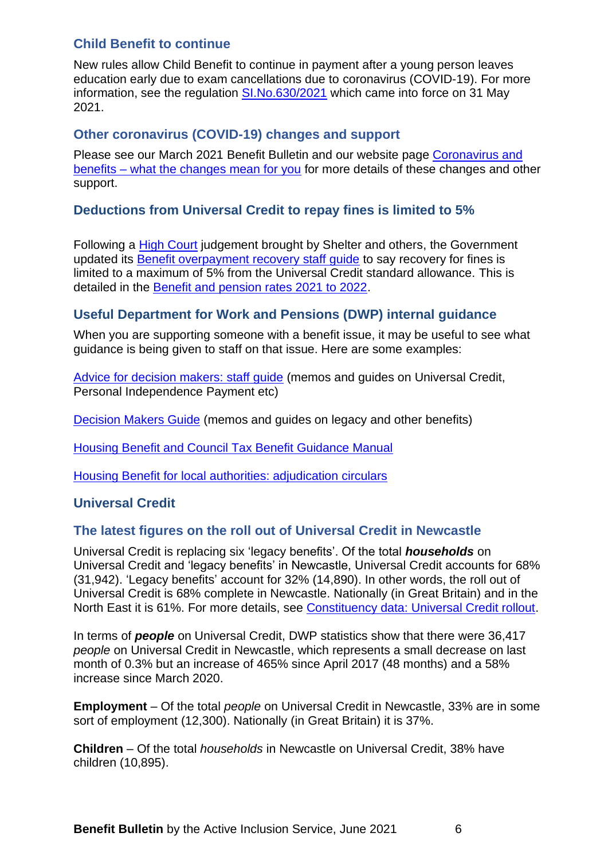## <span id="page-5-0"></span>**Child Benefit to continue**

New rules allow Child Benefit to continue in payment after a young person leaves education early due to exam cancellations due to coronavirus (COVID-19). For more information, see the regulation [SI.No.630/2021](https://www.legislation.gov.uk/uksi/2021/630/made) which came into force on 31 May 2021.

## <span id="page-5-1"></span>**Other coronavirus (COVID-19) changes and support**

Please see our March 2021 Benefit Bulletin and our website page [Coronavirus and](https://www.newcastle.gov.uk/services/welfare-benefits/welfare-rights-and-money-advice/coronavirus-and-benefits-what-changes)  benefits – [what the changes mean for you](https://www.newcastle.gov.uk/services/welfare-benefits/welfare-rights-and-money-advice/coronavirus-and-benefits-what-changes) for more details of these changes and other support.

## <span id="page-5-2"></span>**Deductions from Universal Credit to repay fines is limited to 5%**

Following a [High Court](https://www.bailii.org./ew/cases/EWHC/Admin/2021/608.html) judgement brought by Shelter and others, the Government updated its **[Benefit overpayment recovery staff guide](https://www.gov.uk/government/publications/benefit-overpayment-recovery-staff-guide/benefit-overpayment-recovery-guide)** to say recovery for fines is limited to a maximum of 5% from the Universal Credit standard allowance. This is detailed in the [Benefit and pension rates 2021 to 2022.](https://www.gov.uk/government/publications/benefit-and-pension-rates-2021-to-2022/benefit-and-pension-rates-2021-to-2022)

## <span id="page-5-3"></span>**Useful Department for Work and Pensions (DWP) internal guidance**

When you are supporting someone with a benefit issue, it may be useful to see what guidance is being given to staff on that issue. Here are some examples:

[Advice for decision makers: staff guide](https://www.gov.uk/government/publications/advice-for-decision-making-staff-guide?utm_medium=email&utm_campaign=govuk-notifications&utm_source=c3d224c3-5969-4ed7-80e6-99a175a0b223&utm_content=daily) (memos and guides on Universal Credit, Personal Independence Payment etc)

[Decision Makers Guide](https://www.gov.uk/government/collections/decision-makers-guide-staff-guide) (memos and guides on legacy and other benefits)

[Housing Benefit and Council Tax Benefit Guidance Manual](https://www.gov.uk/government/collections/housing-benefit-and-council-tax-benefit-manual)

[Housing Benefit for local authorities: adjudication circulars](https://www.gov.uk/government/collections/housing-benefit-for-local-authorities-circulars)

#### <span id="page-5-4"></span>**Universal Credit**

#### <span id="page-5-5"></span>**The latest figures on the roll out of Universal Credit in Newcastle**

Universal Credit is replacing six 'legacy benefits'. Of the total *households* on Universal Credit and 'legacy benefits' in Newcastle, Universal Credit accounts for 68% (31,942). 'Legacy benefits' account for 32% (14,890). In other words, the roll out of Universal Credit is 68% complete in Newcastle. Nationally (in Great Britain) and in the North East it is 61%. For more details, see [Constituency data: Universal Credit rollout.](https://parliament.us16.list-manage.com/track/click?u=3ad7e4c57a864f07e4db008c4&id=745c25413d&e=4045056713)

In terms of *people* on Universal Credit, DWP statistics show that there were 36,417 *people* on Universal Credit in Newcastle, which represents a small decrease on last month of 0.3% but an increase of 465% since April 2017 (48 months) and a 58% increase since March 2020.

**Employment** – Of the total *people* on Universal Credit in Newcastle, 33% are in some sort of employment (12,300). Nationally (in Great Britain) it is 37%.

**Children** – Of the total *households* in Newcastle on Universal Credit, 38% have children (10,895).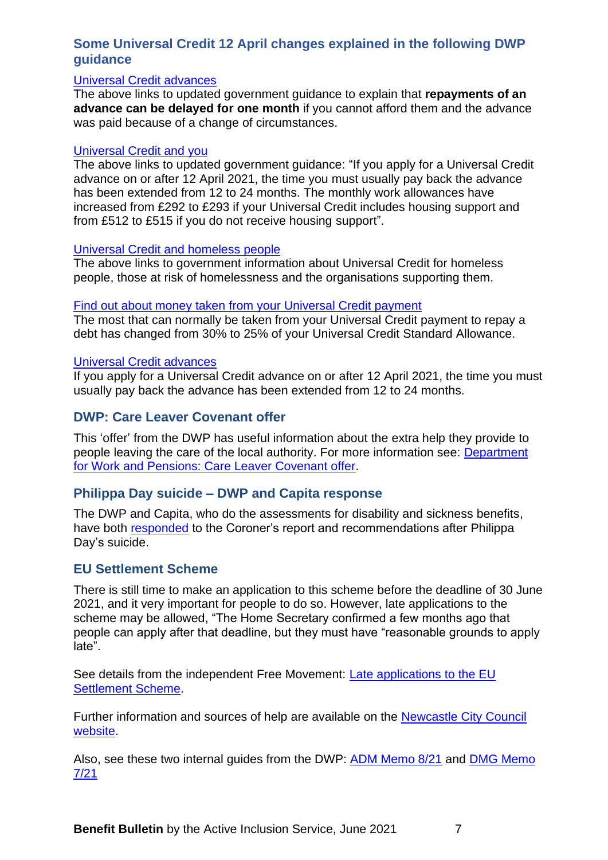## <span id="page-6-0"></span>**Some Universal Credit 12 April changes explained in the following DWP guidance**

#### [Universal Credit advances](https://www.gov.uk/guidance/universal-credit-advances?utm_medium=email&utm_campaign=govuk-notifications&utm_source=653c28db-8038-4ea5-b1d5-62d266c9f87c&utm_content=daily)

The above links to updated government guidance to explain that **repayments of an advance can be delayed for one month** if you cannot afford them and the advance was paid because of a change of circumstances.

#### [Universal Credit and you](https://www.gov.uk/government/publications/universal-credit-and-you?utm_medium=email&utm_campaign=govuk-notifications&utm_source=a0e075ff-27eb-4639-997e-abe5f1b8889d&utm_content=daily)

The above links to updated government guidance: "If you apply for a Universal Credit advance on or after 12 April 2021, the time you must usually pay back the advance has been extended from 12 to 24 months. The monthly work allowances have increased from £292 to £293 if your Universal Credit includes housing support and from £512 to £515 if you do not receive housing support".

#### [Universal Credit and homeless people](https://www.gov.uk/government/publications/universal-credit-and-homeless-people?utm_medium=email&utm_campaign=govuk-notifications&utm_source=e87b1854-61ee-4f49-9456-5181507118db&utm_content=daily)

The above links to government information about Universal Credit for homeless people, those at risk of homelessness and the organisations supporting them.

#### [Find out about money taken from your Universal Credit payment](https://www.gov.uk/guidance/find-out-about-money-taken-off-your-universal-credit-payment?utm_medium=email&utm_campaign=govuk-notifications&utm_source=076f2a29-1dfe-48e8-9c75-3e670c5ee748&utm_content=daily)

The most that can normally be taken from your Universal Credit payment to repay a debt has changed from 30% to 25% of your Universal Credit Standard Allowance.

#### [Universal Credit advances](https://www.gov.uk/guidance/universal-credit-advances?utm_medium=email&utm_campaign=govuk-notifications&utm_source=4b651242-d370-4fa7-a207-6a63e2b953df&utm_content=daily)

If you apply for a Universal Credit advance on or after 12 April 2021, the time you must usually pay back the advance has been extended from 12 to 24 months.

#### <span id="page-6-1"></span>**[DWP: Care Leaver Covenant offer](https://www.gov.uk/government/publications/department-for-work-and-pensions-care-leaver-covenant-offer?utm_medium=email&utm_campaign=govuk-notifications&utm_source=73d7cd75-ae2e-45e6-afe2-82082ca5d3c3&utm_content=daily)**

This 'offer' from the DWP has useful information about the extra help they provide to people leaving the care of the local authority. For more information see: [Department](https://www.gov.uk/government/publications/department-for-work-and-pensions-care-leaver-covenant-offer?utm_medium=email&utm_campaign=govuk-notifications&utm_source=73d7cd75-ae2e-45e6-afe2-82082ca5d3c3&utm_content=daily)  for Work and [Pensions: Care Leaver Covenant offer.](https://www.gov.uk/government/publications/department-for-work-and-pensions-care-leaver-covenant-offer?utm_medium=email&utm_campaign=govuk-notifications&utm_source=73d7cd75-ae2e-45e6-afe2-82082ca5d3c3&utm_content=daily)

#### <span id="page-6-2"></span>**Philippa Day suicide – DWP and Capita response**

The DWP and Capita, who do the assessments for disability and sickness benefits, have both [responded](https://www.judiciary.uk/publications/philippa-day/) to the Coroner's report and recommendations after Philippa Day's suicide.

#### <span id="page-6-3"></span>**EU Settlement Scheme**

There is still time to make an application to this scheme before the deadline of 30 June 2021, and it very important for people to do so. However, late applications to the scheme may be allowed, "The Home Secretary confirmed a few months ago that people can apply after that deadline, but they must have "reasonable grounds to apply late".

See details from the independent Free Movement: [Late applications to the EU](https://freemovement.us7.list-manage.com/track/click?u=f9bd6cf96dfcc32f56ee73924&id=a08a1de09b&e=110fdfc55a)  [Settlement Scheme.](https://freemovement.us7.list-manage.com/track/click?u=f9bd6cf96dfcc32f56ee73924&id=a08a1de09b&e=110fdfc55a)

Further information and sources of help are available on the **Newcastle City Council** [website.](https://www.newcastle.gov.uk/eu-settlement-scheme)

Also, see these two internal guides from the DWP: [ADM Memo 8/21](https://assets.publishing.service.gov.uk/government/uploads/system/uploads/attachment_data/file/986153/adm8-21.pdf) and [DMG Memo](https://assets.publishing.service.gov.uk/government/uploads/system/uploads/attachment_data/file/986191/m-7-21.pdf)  [7/21](https://assets.publishing.service.gov.uk/government/uploads/system/uploads/attachment_data/file/986191/m-7-21.pdf)